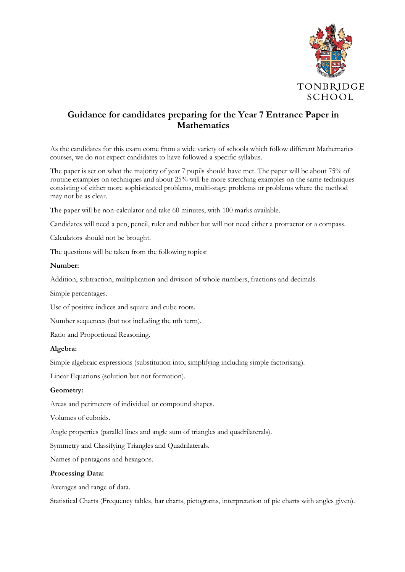

# **Guidance for candidates preparing for the Year 7 Entrance Paper in Mathematics**

As the candidates for this exam come from a wide variety of schools which follow different Mathematics courses, we do not expect candidates to have followed a specific syllabus.

The paper is set on what the majority of year 7 pupils should have met. The paper will be about 75% of routine examples on techniques and about 25% will be more stretching examples on the same techniques consisting of either more sophisticated problems, multi-stage problems or problems where the method may not be as clear.

The paper will be non-calculator and take 60 minutes, with 100 marks available.

Candidates will need a pen, pencil, ruler and rubber but will not need either a protractor or a compass.

Calculators should not be brought.

The questions will be taken from the following topics:

## **Number:**

Addition, subtraction, multiplication and division of whole numbers, fractions and decimals.

Simple percentages.

Use of positive indices and square and cube roots.

Number sequences (but not including the nth term).

Ratio and Proportional Reasoning.

#### **Algebra:**

Simple algebraic expressions (substitution into, simplifying including simple factorising).

Linear Equations (solution but not formation).

## **Geometry:**

Areas and perimeters of individual or compound shapes.

Volumes of cuboids.

Angle properties (parallel lines and angle sum of triangles and quadrilaterals).

Symmetry and Classifying Triangles and Quadrilaterals.

Names of pentagons and hexagons.

#### **Processing Data:**

Averages and range of data.

Statistical Charts (Frequency tables, bar charts, pictograms, interpretation of pie charts with angles given).